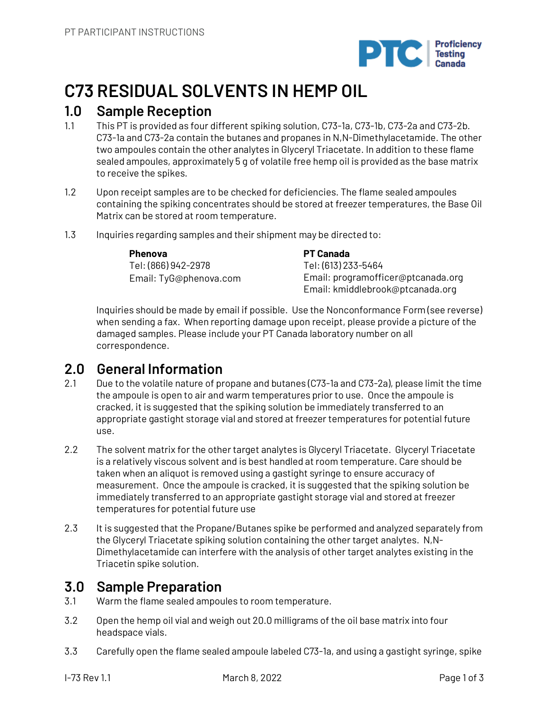

# **C73 RESIDUAL SOLVENTS IN HEMP OIL**

## **1.0 Sample Reception**

- 1.1 This PT is provided as four different spiking solution, C73-1a, C73-1b, C73-2a and C73-2b. C73-1a and C73-2a contain the butanes and propanes in N,N-Dimethylacetamide. The other two ampoules contain the other analytes in Glyceryl Triacetate. In addition to these flame sealed ampoules, approximately 5 g of volatile free hemp oil is provided as the base matrix to receive the spikes.
- 1.2 Upon receipt samples are to be checked for deficiencies. The flame sealed ampoules containing the spiking concentrates should be stored at freezer temperatures, the Base Oil Matrix can be stored at room temperature.
- 1.3 Inquiries regarding samples and their shipment may be directed to:

#### **Phenova**

Tel: (866) 942-2978 Email: TyG@phenova.com **PT Canada** Tel: (613) 233-5464 Email: programofficer@ptcanada.org Email: kmiddlebrook@ptcanada.org

Inquiries should be made by email if possible. Use the Nonconformance Form (see reverse) when sending a fax. When reporting damage upon receipt, please provide a picture of the damaged samples. Please include your PT Canada laboratory number on all correspondence.

## **2.0 General Information**

- 2.1 Due to the volatile nature of propane and butanes (C73-1a and C73-2a), please limit the time the ampoule is open to air and warm temperatures prior to use. Once the ampoule is cracked, it is suggested that the spiking solution be immediately transferred to an appropriate gastight storage vial and stored at freezer temperatures for potential future use.
- 2.2 The solvent matrix for the other target analytes is Glyceryl Triacetate. Glyceryl Triacetate is a relatively viscous solvent and is best handled at room temperature. Care should be taken when an aliquot is removed using a gastight syringe to ensure accuracy of measurement. Once the ampoule is cracked, it is suggested that the spiking solution be immediately transferred to an appropriate gastight storage vial and stored at freezer temperatures for potential future use
- 2.3 It is suggested that the Propane/Butanes spike be performed and analyzed separately from the Glyceryl Triacetate spiking solution containing the other target analytes. N,N-Dimethylacetamide can interfere with the analysis of other target analytes existing in the Triacetin spike solution.

## **3.0 Sample Preparation**

- 3.1 Warm the flame sealed ampoules to room temperature.
- 3.2 Open the hemp oil vial and weigh out 20.0 milligrams of the oil base matrix into four headspace vials.
- 3.3 Carefully open the flame sealed ampoule labeled C73-1a, and using a gastight syringe, spike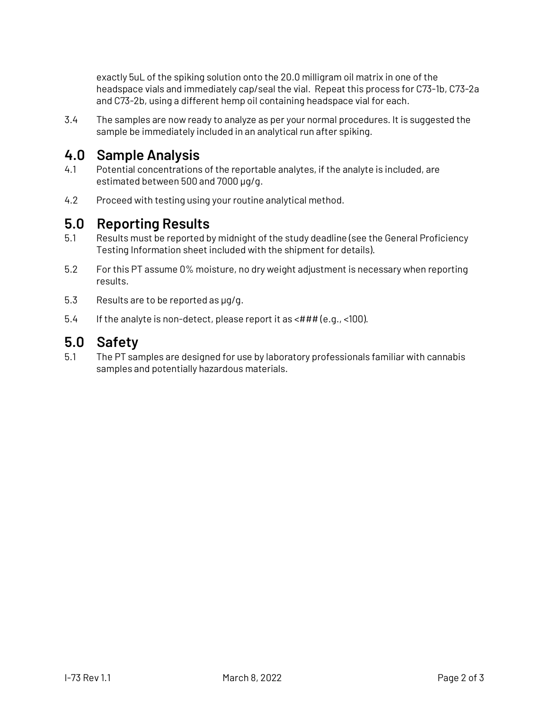exactly 5uL of the spiking solution onto the 20.0 milligram oil matrix in one of the headspace vials and immediately cap/seal the vial. Repeat this process for C73-1b, C73-2a and C73-2b, using a different hemp oil containing headspace vial for each.

3.4 The samples are now ready to analyze as per your normal procedures. It is suggested the sample be immediately included in an analytical run after spiking.

## **4.0 Sample Analysis**

- 4.1 Potential concentrations of the reportable analytes, if the analyte is included, are estimated between 500 and 7000 µg/g.
- 4.2 Proceed with testing using your routine analytical method.

## **5.0 Reporting Results**

- 5.1 Results must be reported by midnight of the study deadline (see the General Proficiency Testing Information sheet included with the shipment for details).
- 5.2 For this PT assume 0% moisture, no dry weight adjustment is necessary when reporting results.
- 5.3 Results are to be reported as µg/g.
- 5.4 If the analyte is non-detect, please report it as <### (e.g., <100).

## **5.0 Safety**

5.1 The PT samples are designed for use by laboratory professionals familiar with cannabis samples and potentially hazardous materials.